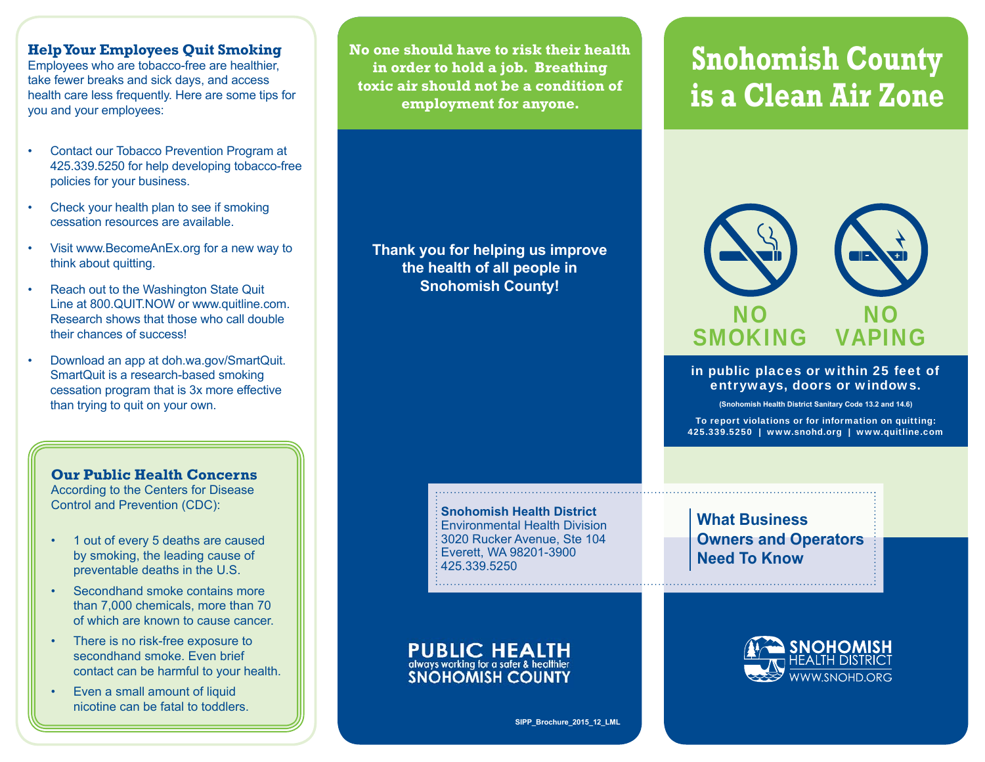## **Help Your Employees Quit Smoking**

Employees who are tobacco-free are healthier, take fewer breaks and sick days, and access health care less frequently. Here are some tips for you and your employees:

- Contact our Tobacco Prevention Program at 425.339.5250 for help developing tobacco-free policies for your business.
- Check your health plan to see if smoking cessation resources are available.
- Visit www.BecomeAnEx.org for a new way to think about quitting.
- Reach out to the Washington State Quit Line at 800.QUIT.NOW or www.quitline.com. Research shows that those who call double their chances of success!
- Download an app at doh.wa.gov/SmartQuit. SmartQuit is a research-based smoking cessation program that is 3x more effective than trying to quit on your own.

# **Our Public Health Concerns**

According to the Centers for Disease Control and Prevention (CDC):

- 1 out of every 5 deaths are caused by smoking, the leading cause of preventable deaths in the U.S.
- Secondhand smoke contains more than 7,000 chemicals, more than 70 of which are known to cause cancer.
- There is no risk-free exposure to secondhand smoke. Even brief contact can be harmful to your health.
- Even a small amount of liquid nicotine can be fatal to toddlers.

**SIPP\_Brochure01\_06\_2013\_pac No one should have to risk their health in order to hold a job. Breathing toxic air should not be a condition of employment for anyone.**

**Thank you for helping us improve the health of all people in Snohomish County!**

#### **Snohomish Health District**Environmental Health Division3020 Rucker Avenue, Ste 104 Everett, WA 98201-3900 425.339.5250

**PUBLIC HEALTH** always working for a safer & healthier **SNOHOMISH COUNTY** 

# **Snohomish County is a Clean Air Zone**



#### in public places or within 25 feet of entryways, doors or windows.

**(Snohomish Health District Sanitary Code 13.2 and 14.6)**

To report violations or for information on quitting: 425.339.5250 | www.snohd.org | www.quitline.com

**What Business Owners and Operators Need To Know**